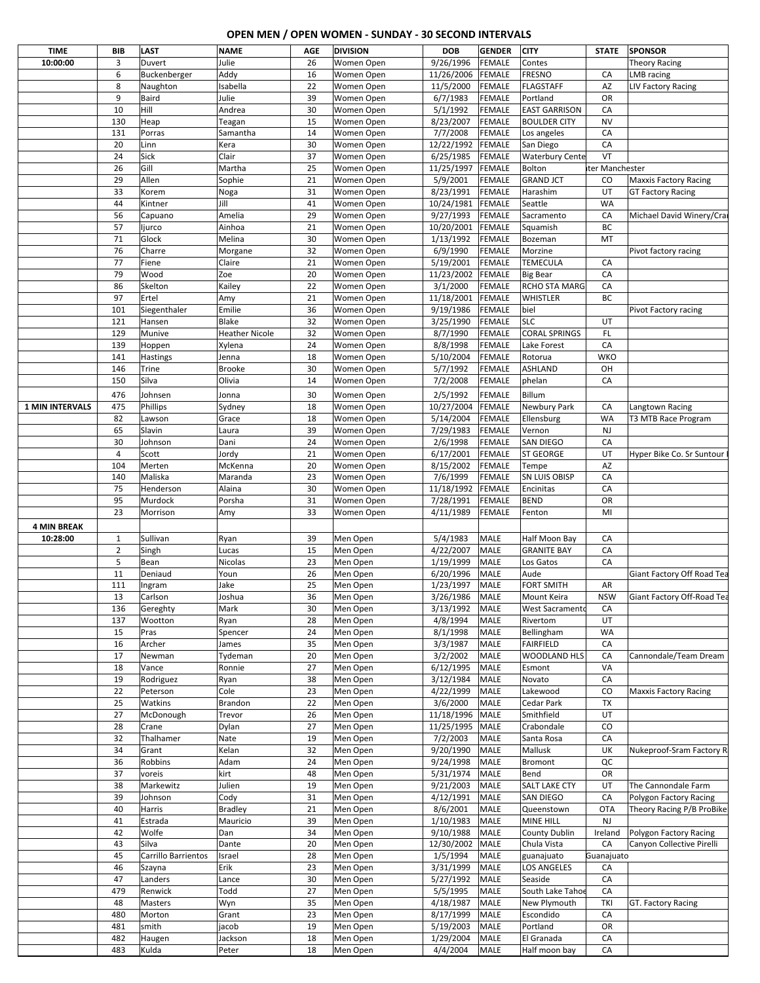## **OPEN MEN / OPEN WOMEN - SUNDAY - 30 SECOND INTERVALS**

| <b>TIME</b>            | BIB            | <b>LAST</b>         | <b>NAME</b>           | AGE      | <b>DIVISION</b>      | <b>DOB</b>            | <b>GENDER</b>       | <b>CITY</b>                 | <b>STATE</b>   | <b>SPONSOR</b>               |
|------------------------|----------------|---------------------|-----------------------|----------|----------------------|-----------------------|---------------------|-----------------------------|----------------|------------------------------|
| 10:00:00               | 3              | Duvert              | Julie                 | 26       | Women Open           | 9/26/1996             | <b>FEMALE</b>       | Contes                      |                | <b>Theory Racing</b>         |
|                        | 6              | Buckenberger        | Addy                  | 16       | Women Open           | 11/26/2006            | FEMALE              | <b>FRESNO</b>               | CA             | <b>LMB</b> racing            |
|                        | 8              |                     |                       |          |                      |                       |                     |                             |                |                              |
|                        |                | Naughton            | Isabella              | 22       | Women Open           | 11/5/2000             | <b>FEMALE</b>       | <b>FLAGSTAFF</b>            | AZ             | LIV Factory Racing           |
|                        | 9              | Baird               | Julie                 | 39       | Women Open           | 6/7/1983              | <b>FEMALE</b>       | Portland                    | OR             |                              |
|                        | 10             | Hill                | Andrea                | 30       | Women Open           | 5/1/1992              | <b>FEMALE</b>       | <b>EAST GARRISON</b>        | CA             |                              |
|                        | 130            | Heap                | Teagan                | 15       | Women Open           | 8/23/2007             | <b>FEMALE</b>       | BOULDER CITY                | <b>NV</b>      |                              |
|                        | 131            | Porras              | Samantha              | 14       | Women Open           | 7/7/2008              | <b>FEMALE</b>       | Los angeles                 | CA             |                              |
|                        | 20             | Linn                | Kera                  | 30       | Women Open           | 12/22/1992            | FEMALE              | San Diego                   | CA             |                              |
|                        | 24             | Sick                | Clair                 | 37       | Women Open           | 6/25/1985             | <b>FEMALE</b>       | <b>Waterbury Cente</b>      | VT             |                              |
|                        | 26             | Gill                | Martha                | 25       | Women Open           | 11/25/1997            | <b>FEMALE</b>       | Bolton                      | ter Manchester |                              |
|                        | 29             | Allen               | Sophie                | 21       | Women Open           | 5/9/2001              | <b>FEMALE</b>       | <b>GRAND JCT</b>            | CO             | <b>Maxxis Factory Racing</b> |
|                        |                |                     |                       |          |                      |                       |                     |                             |                |                              |
|                        | 33             | Korem               | Noga                  | 31       | Women Open           | 8/23/1991             | <b>FEMALE</b>       | Harashim                    | UT             | <b>GT Factory Racing</b>     |
|                        | 44             | Kintner             | Jill                  | 41       | Women Open           | 10/24/1981            | <b>FEMALE</b>       | Seattle                     | <b>WA</b>      |                              |
|                        | 56             | Capuano             | Amelia                | 29       | Women Open           | 9/27/1993             | FEMALE              | Sacramento                  | CA             | Michael David Winery/Crai    |
|                        | 57             | ljurco              | Ainhoa                | 21       | Women Open           | 10/20/2001            | FEMALE              | Squamish                    | BC             |                              |
|                        | 71             | Glock               | Melina                | 30       | Women Open           | 1/13/1992             | FEMALE              | Bozeman                     | MT             |                              |
|                        | 76             | Charre              | Morgane               | 32       | Women Open           | 6/9/1990              | <b>FEMALE</b>       | Morzine                     |                | Pivot factory racing         |
|                        | 77             | Fiene               | Claire                | 21       | Women Open           | 5/19/2001             | <b>FEMALE</b>       | TEMECULA                    | CA             |                              |
|                        | 79             | Wood                | Zoe                   | 20       | Women Open           | 11/23/2002            | FEMALE              | <b>Big Bear</b>             | CA             |                              |
|                        | 86             | Skelton             | Kailey                | 22       |                      | 3/1/2000              | <b>FEMALE</b>       | RCHO STA MARG               | CA             |                              |
|                        |                |                     |                       |          | Women Open           |                       |                     |                             |                |                              |
|                        | 97             | Ertel               | Amy                   | 21       | Women Open           | 11/18/2001            | <b>FEMALE</b>       | WHISTLER                    | BC             |                              |
|                        | 101            | Siegenthaler        | Emilie                | 36       | Women Open           | 9/19/1986             | <b>FEMALE</b>       | biel                        |                | Pivot Factory racing         |
|                        | 121            | Hansen              | Blake                 | 32       | Women Open           | 3/25/1990             | <b>FEMALE</b>       | <b>SLC</b>                  | UT             |                              |
|                        | 129            | Munive              | <b>Heather Nicole</b> | 32       | Women Open           | 8/7/1990              | <b>FEMALE</b>       | <b>CORAL SPRINGS</b>        | FL.            |                              |
|                        | 139            | Hoppen              | Xylena                | 24       | Women Open           | 8/8/1998              | <b>FEMALE</b>       | Lake Forest                 | CA             |                              |
|                        | 141            | Hastings            | Jenna                 | 18       | Women Open           | 5/10/2004             | <b>FEMALE</b>       | Rotorua                     | <b>WKO</b>     |                              |
|                        | 146            | Trine               | Brooke                | 30       | Women Open           | 5/7/1992              | <b>FEMALE</b>       | ASHLAND                     | OH             |                              |
|                        | 150            | Silva               | Olivia                | 14       | Women Open           | 7/2/2008              | <b>FEMALE</b>       | phelan                      | CA             |                              |
|                        |                |                     |                       |          |                      |                       |                     |                             |                |                              |
|                        | 476            | Johnsen             | Jonna                 | 30       | Women Open           | 2/5/1992              | <b>FEMALE</b>       | Billum                      |                |                              |
| <b>1 MIN INTERVALS</b> | 475            | Phillips            | Sydney                | 18       | Women Open           | 10/27/2004            | <b>FEMALE</b>       | Newbury Park                | CA             | Langtown Racing              |
|                        | 82             | Lawson              | Grace                 | 18       | Women Open           | 5/14/2004             | <b>FEMALE</b>       | Ellensburg                  | <b>WA</b>      | T3 MTB Race Program          |
|                        | 65             | Slavin              | Laura                 | 39       | Women Open           | 7/29/1983             | <b>FEMALE</b>       | Vernon                      | <b>NJ</b>      |                              |
|                        | 30             | Johnson             | Dani                  | 24       | Women Open           | 2/6/1998              | <b>FEMALE</b>       | SAN DIEGO                   | CA             |                              |
|                        | $\overline{4}$ | Scott               | Jordy                 | 21       | Women Open           | 6/17/2001             | <b>FEMALE</b>       | <b>ST GEORGE</b>            | UT             | Hyper Bike Co. Sr Suntour    |
|                        | 104            | Merten              | McKenna               | 20       | Women Open           | 8/15/2002             | <b>FEMALE</b>       | Tempe                       | AZ             |                              |
|                        | 140            | Maliska             | Maranda               | 23       | Women Open           | 7/6/1999              | <b>FEMALE</b>       | SN LUIS OBISP               | CA             |                              |
|                        | 75             | Henderson           | Alaina                | 30       | Women Open           | 11/18/1992            | <b>FEMALE</b>       | Encinitas                   | CA             |                              |
|                        |                |                     |                       |          |                      |                       |                     |                             |                |                              |
|                        | 95             | Murdock             | Porsha                | 31       | Women Open           | 7/28/1991             | <b>FEMALE</b>       | <b>BEND</b>                 | OR             |                              |
|                        | 23             | Morrison            | Amy                   | 33       | Women Open           | 4/11/1989             | <b>FEMALE</b>       | Fenton                      | MI             |                              |
| <b>4 MIN BREAK</b>     |                |                     |                       |          |                      |                       |                     |                             |                |                              |
| 10:28:00               | 1              | Sullivan            | Ryan                  | 39       | Men Open             | 5/4/1983              | <b>MALE</b>         | Half Moon Bay               | CA             |                              |
|                        | $\overline{2}$ | Singh               | Lucas                 | 15       | Men Open             | 4/22/2007             | <b>MALE</b>         | <b>GRANITE BAY</b>          | CA             |                              |
|                        | 5              | Bean                | Nicolas               | 23       | Men Open             | 1/19/1999             | <b>MALE</b>         | Los Gatos                   | CA             |                              |
|                        | 11             | Deniaud             | Youn                  | 26       | Men Open             | 6/20/1996             | <b>MALE</b>         | Aude                        |                | Giant Factory Off Road Tea   |
|                        | 111            |                     | Jake                  | 25       |                      | 1/23/1997             | <b>MALE</b>         | <b>FORT SMITH</b>           | AR             |                              |
|                        |                | Ingram              |                       |          | Men Open             |                       |                     |                             |                |                              |
|                        | 13             | Carlson             | Joshua                | 36       | Men Open             | 3/26/1986             | MALE                | Mount Keira                 | <b>NSW</b>     | Giant Factory Off-Road Tea   |
|                        | 136            | Gereghty            | Mark                  | 30       | Men Open             | 3/13/1992             | <b>MALE</b>         | West Sacramento             | CA             |                              |
|                        | 137            | Wootton             | Ryan                  | 28       | Men Open             | 4/8/1994              | <b>MALE</b>         | Rivertom                    | UT             |                              |
|                        | 15             | Pras                | Spencer               | 24       | Men Open             | 8/1/1998              | <b>MALE</b>         | Bellingham                  | <b>WA</b>      |                              |
|                        | 16             | Archer              | James                 | 35       | Men Open             | 3/3/1987              | <b>MALE</b>         | <b>FAIRFIELD</b>            | CA             |                              |
|                        | 17             | Newman              | Tydeman               | 20       | Men Open             | 3/2/2002              | <b>MALE</b>         | WOODLAND HLS                | CA             | Cannondale/Team Dream        |
|                        | 18             | Vance               | Ronnie                | 27       | Men Open             | 6/12/1995             | MALE                | Esmont                      | VA             |                              |
|                        | 19             | Rodriguez           | Ryan                  | 38       | Men Open             | 3/12/1984             | <b>MALE</b>         | Novato                      | CA             |                              |
|                        | 22             | Peterson            | Cole                  | 23       | Men Open             | 4/22/1999             | MALE                | Lakewood                    | CO             | <b>Maxxis Factory Racing</b> |
|                        |                |                     |                       |          |                      |                       |                     |                             |                |                              |
|                        | 25             | Watkins             | Brandon               | 22       | Men Open             | 3/6/2000              | <b>MALE</b>         | Cedar Park                  | TX             |                              |
|                        | 27             | McDonough           | Trevor                | 26       | Men Open             | 11/18/1996 MALE       |                     | Smithfield                  | UT             |                              |
|                        | 28             | Crane               | Dylan                 | 27       | Men Open             | 11/25/1995 MALE       |                     | Crabondale                  | CO             |                              |
|                        | 32             | Thalhamer           | Nate                  | 19       | Men Open             | 7/2/2003              | <b>MALE</b>         | Santa Rosa                  | CA             |                              |
|                        | 34             | Grant               | Kelan                 | 32       | Men Open             | 9/20/1990             | <b>MALE</b>         | Mallusk                     | UK             | Nukeproof-Sram Factory R     |
|                        | 36             | Robbins             | Adam                  | 24       | Men Open             | 9/24/1998             | <b>MALE</b>         | Bromont                     | QC             |                              |
|                        | 37             | voreis              | kirt                  | 48       | Men Open             | 5/31/1974             | <b>MALE</b>         | Bend                        | OR             |                              |
|                        | 38             | Markewitz           | Julien                | 19       | Men Open             | 9/21/2003             | MALE                | SALT LAKE CTY               | UT             | The Cannondale Farm          |
|                        | 39             | Johnson             | Cody                  | 31       | Men Open             | 4/12/1991             | <b>MALE</b>         | SAN DIEGO                   | CA             | Polygon Factory Racing       |
|                        | 40             | Harris              | Bradley               | 21       | Men Open             | 8/6/2001              | <b>MALE</b>         | Queenstown                  | <b>OTA</b>     | Theory Racing P/B ProBike    |
|                        |                |                     |                       |          |                      |                       |                     |                             | <b>NJ</b>      |                              |
|                        | 41             | Estrada             | Mauricio              | 39       | Men Open             | 1/10/1983             | <b>MALE</b>         | MINE HILL                   |                |                              |
|                        | 42             | Wolfe               | Dan                   | 34       | Men Open             | 9/10/1988             | MALE                | County Dublin               | Ireland        | Polygon Factory Racing       |
|                        | 43             | Silva               | Dante                 | 20       | Men Open             | 12/30/2002 MALE       |                     | Chula Vista                 | CA             | Canyon Collective Pirelli    |
|                        |                |                     |                       |          |                      | 1/5/1994              | <b>MALE</b>         | guanajuato                  | Guanajuato     |                              |
|                        | 45             | Carrillo Barrientos | Israel                | 28       | Men Open             |                       |                     |                             |                |                              |
|                        | 46             | Szayna              | Erik                  | 23       | Men Open             | 3/31/1999             | <b>MALE</b>         | LOS ANGELES                 | CA             |                              |
|                        | 47             | Landers             | Lance                 | 30       | Men Open             | 5/27/1992             | <b>MALE</b>         | Seaside                     | CA             |                              |
|                        | 479            | Renwick             | Todd                  |          |                      | 5/5/1995              | <b>MALE</b>         |                             | CA             |                              |
|                        |                |                     |                       | 27       | Men Open             |                       |                     | South Lake Tahoe            |                |                              |
|                        | 48             | Masters             | Wyn                   | 35       | Men Open             | 4/18/1987             | <b>MALE</b>         | New Plymouth                | TKI            | GT. Factory Racing           |
|                        | 480            | Morton              | Grant                 | 23       | Men Open             | 8/17/1999             | <b>MALE</b>         | Escondido                   | CA             |                              |
|                        | 481            | smith               | jacob                 | 19       | Men Open             | 5/19/2003             | MALE                | Portland                    | OR             |                              |
|                        | 482<br>483     | Haugen<br>Kulda     | Jackson<br>Peter      | 18<br>18 | Men Open<br>Men Open | 1/29/2004<br>4/4/2004 | MALE<br><b>MALE</b> | El Granada<br>Half moon bay | CA<br>CA       |                              |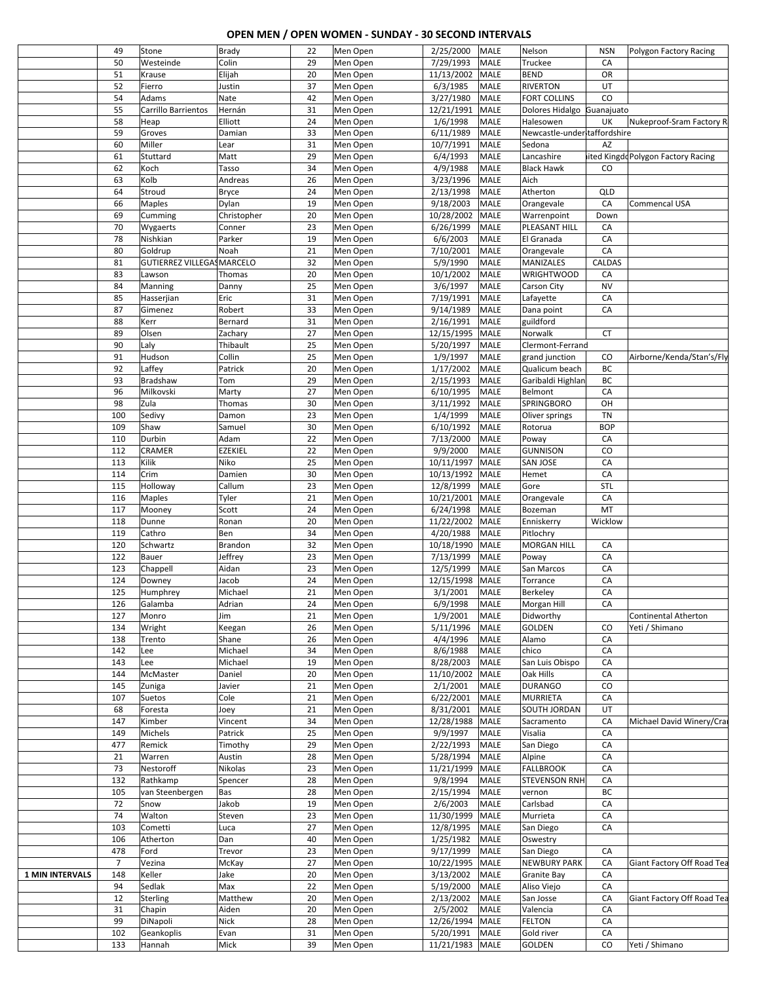## **OPEN MEN / OPEN WOMEN - SUNDAY - 30 SECOND INTERVALS**

|                        | 49             | Stone                      | <b>Brady</b>    | 22       | Men Open             | 2/25/2000       | <b>MALE</b> | Nelson                       | <b>NSN</b> | Polygon Factory Racing             |
|------------------------|----------------|----------------------------|-----------------|----------|----------------------|-----------------|-------------|------------------------------|------------|------------------------------------|
|                        | 50             | Westeinde                  | Colin           | 29       | Men Open             | 7/29/1993       | MALE        | Truckee                      | CA         |                                    |
|                        | 51             | Krause                     | Elijah          | 20       | Men Open             | 11/13/2002      | MALE        | <b>BEND</b>                  | OR         |                                    |
|                        | 52             | Fierro                     | Justin          | 37       | Men Open             | 6/3/1985        | MALE        | <b>RIVERTON</b>              | UT         |                                    |
|                        | 54             | Adams                      | Nate            | 42       | Men Open             | 3/27/1980       | MALE        | <b>FORT COLLINS</b>          | CO         |                                    |
|                        | 55             | Carrillo Barrientos        | Hernán          | 31       | Men Open             | 12/21/1991      | <b>MALE</b> | Dolores Hidalgo Guanajuato   |            |                                    |
|                        | 58             | Heap                       | Elliott         | 24       | Men Open             | 1/6/1998        | MALE        | Halesowen                    | UK         | Nukeproof-Sram Factory R           |
|                        | 59             | Groves                     | Damian          | 33       | Men Open             | 6/11/1989       | MALE        | Newcastle-understaffordshire |            |                                    |
|                        | 60             | Miller                     | Lear            | 31       | Men Open             | 10/7/1991       | MALE        | Sedona                       | AZ         |                                    |
|                        | 61             | Stuttard                   | Matt            | 29       | Men Open             | 6/4/1993        | MALE        | Lancashire                   |            | iited KingddPolygon Factory Racing |
|                        | 62             | Koch                       | Tasso           | 34       | Men Open             | 4/9/1988        | MALE        | <b>Black Hawk</b>            | CO         |                                    |
|                        | 63             | Kolb                       | Andreas         | 26       | Men Open             | 3/23/1996       | MALE        | Aich                         |            |                                    |
|                        | 64             | Stroud                     | <b>Bryce</b>    | 24       | Men Open             | 2/13/1998       | MALE        | Atherton                     | QLD        |                                    |
|                        |                |                            |                 | 19       |                      | 9/18/2003       | MALE        |                              | CA         |                                    |
|                        | 66             | <b>Maples</b>              | Dylan           |          | Men Open             |                 |             | Orangevale                   |            | Commencal USA                      |
|                        | 69             | Cumming                    | Christopher     | 20       | Men Open             | 10/28/2002      | MALE        | Warrenpoint                  | Down       |                                    |
|                        | 70             | Wygaerts                   | Conner          | 23       | Men Open             | 6/26/1999       | MALE        | PLEASANT HILL                | CA         |                                    |
|                        | 78             | Nishkian                   | Parker          | 19       | Men Open             | 6/6/2003        | MALE        | El Granada                   | CA         |                                    |
|                        | 80             | Goldrup                    | Noah            | 21       | Men Open             | 7/10/2001       | MALE        | Orangevale                   | CA         |                                    |
|                        | 81             | GUTIERREZ VILLEGAS MARCELO |                 | 32       | Men Open             | 5/9/1990        | MALE        | MANIZALES                    | CALDAS     |                                    |
|                        | 83             | Lawson                     | Thomas          | 20       | Men Open             | 10/1/2002       | MALE        | <b>WRIGHTWOOD</b>            | CA         |                                    |
|                        | 84             | Manning                    | Danny           | 25       | Men Open             | 3/6/1997        | MALE        | Carson City                  | <b>NV</b>  |                                    |
|                        | 85             | Hasserjian                 | Eric            | 31       | Men Open             | 7/19/1991       | MALE        | Lafayette                    | CA         |                                    |
|                        | 87             | Gimenez                    | Robert          | 33       | Men Open             | 9/14/1989       | MALE        | Dana point                   | CA         |                                    |
|                        | 88             | Kerr                       | Bernard         | 31       | Men Open             | 2/16/1991       | MALE        | guildford                    |            |                                    |
|                        | 89             | Olsen                      | Zachary         | 27       | Men Open             | 12/15/1995      | <b>MALE</b> | Norwalk                      | CT         |                                    |
|                        | 90             | Laly                       | Thibault        | 25       | Men Open             | 5/20/1997       | MALE        | Clermont-Ferrand             |            |                                    |
|                        | 91             | Hudson                     | Collin          | 25       | Men Open             | 1/9/1997        | MALE        | grand junction               | CO         | Airborne/Kenda/Stan's/Fly          |
|                        | 92             | Laffey                     | Patrick         | 20       | Men Open             | 1/17/2002       | MALE        | Qualicum beach               | ВC         |                                    |
|                        | 93             | Bradshaw                   | Tom             | 29       | Men Open             | 2/15/1993       | MALE        | Garibaldi Highlan            | ВC         |                                    |
|                        | 96             | Milkovski                  | Marty           | 27       | Men Open             | 6/10/1995       | MALE        | Belmont                      | CA         |                                    |
|                        | 98             | Zula                       | Thomas          | 30       | Men Open             | 3/11/1992       | MALE        | SPRINGBORO                   | OH         |                                    |
|                        | 100            | Sedivy                     | Damon           | 23       | Men Open             | 1/4/1999        | MALE        | Oliver springs               | <b>TN</b>  |                                    |
|                        | 109            | Shaw                       | Samuel          | 30       | Men Open             | 6/10/1992       | MALE        | Rotorua                      | <b>BOP</b> |                                    |
|                        | 110            | Durbin                     | Adam            | 22       | Men Open             | 7/13/2000       | MALE        | Poway                        | CA         |                                    |
|                        | 112            | CRAMER                     | EZEKIEL         | 22       | Men Open             | 9/9/2000        | MALE        | <b>GUNNISON</b>              | CO         |                                    |
|                        | 113            | Kilik                      | Niko            | 25       | Men Open             | 10/11/1997      | MALE        | SAN JOSE                     | CA         |                                    |
|                        | 114            | Crim                       | Damien          | 30       | Men Open             | 10/13/1992      | <b>MALE</b> | Hemet                        | CA         |                                    |
|                        | 115            | Holloway                   | Callum          | 23       | Men Open             | 12/8/1999       | MALE        | Gore                         | <b>STL</b> |                                    |
|                        | 116            | Maples                     | Tyler           | 21       | Men Open             | 10/21/2001      | <b>MALE</b> | Orangevale                   | CA         |                                    |
|                        | 117            | Mooney                     | Scott           | 24       | Men Open             | 6/24/1998       | MALE        | Bozeman                      | MT         |                                    |
|                        | 118            | Dunne                      | Ronan           | 20       | Men Open             | 11/22/2002      | MALE        | Enniskerry                   | Wicklow    |                                    |
|                        | 119            | Cathro                     | Ben             | 34       | Men Open             | 4/20/1988       | <b>MALE</b> | Pitlochry                    |            |                                    |
|                        | 120            | Schwartz                   | Brandon         | 32       | Men Open             | 10/18/1990      | MALE        | <b>MORGAN HILL</b>           | CA         |                                    |
|                        | 122            | Bauer                      | Jeffrey         | 23       | Men Open             | 7/13/1999       | MALE        | Poway                        | CA         |                                    |
|                        | 123            | Chappell                   | Aidan           | 23       | Men Open             | 12/5/1999       | MALE        | San Marcos                   | CA         |                                    |
|                        | 124            | Downey                     | Jacob           | 24       | Men Open             | 12/15/1998      | MALE        | Torrance                     | CA         |                                    |
|                        | 125            | Humphrey                   | Michael         | 21       | Men Open             | 3/1/2001        | MALE        | Berkeley                     | CA         |                                    |
|                        | 126            | Galamba                    | Adrian          | 24       | Men Open             | 6/9/1998        | MALE        | Morgan Hill                  | CA         |                                    |
|                        | 127            | Monro                      | Jim             | 21       | Men Open             | 1/9/2001        | <b>MALE</b> | Didworthy                    |            | Continental Atherton               |
|                        | 134            | Wright                     | Keegan          | 26       | Men Open             | 5/11/1996       | <b>MALE</b> | GOLDEN                       | CO         | Yeti / Shimano                     |
|                        | 138            | Trento                     | Shane           | 26       | Men Open             | 4/4/1996        | MALE        | Alamo                        | CA         |                                    |
|                        | 142            | Lee                        | Michael         | 34       | Men Open             | 8/6/1988        | MALE        | chico                        | CA         |                                    |
|                        | 143            | Lee                        | Michael         | 19       | Men Open             | 8/28/2003       | MALE        | San Luis Obispo              | CA         |                                    |
|                        | 144            | McMaster                   | Daniel          | 20       | Men Open             | 11/10/2002      | <b>MALE</b> | Oak Hills                    | CA         |                                    |
|                        | 145            | Zuniga                     | Javier          | 21       | Men Open             | 2/1/2001        | MALE        | <b>DURANGO</b>               | CO         |                                    |
|                        | 107            | Suetos                     | Cole            | 21       | Men Open             | 6/22/2001       | <b>MALE</b> | <b>MURRIETA</b>              | CA         |                                    |
|                        | 68             |                            |                 |          | Men Open             | 8/31/2001       | MALE        | SOUTH JORDAN                 | UT         |                                    |
|                        | 147            | Foresta<br>Kimber          | Joey<br>Vincent | 21       | Men Open             | 12/28/1988      | MALE        |                              | CA         | Michael David Winery/Cra           |
|                        |                |                            |                 | 34<br>25 |                      | 9/9/1997        |             | Sacramento                   | CA         |                                    |
|                        | 149            | Michels                    | Patrick         | 29       | Men Open<br>Men Open | 2/22/1993       | MALE        | Visalia                      |            |                                    |
|                        | 477            | Remick                     | Timothy         |          |                      |                 | MALE        | San Diego                    | CA         |                                    |
|                        | 21             | Warren                     | Austin          | 28       | Men Open             | 5/28/1994       | MALE        | Alpine                       | CA         |                                    |
|                        | 73             | Nestoroff                  | Nikolas         | 23       | Men Open             | 11/21/1999      | MALE        | <b>FALLBROOK</b>             | CA         |                                    |
|                        | 132            | Rathkamp                   | Spencer         | 28       | Men Open             | 9/8/1994        | MALE        | <b>STEVENSON RNH</b>         | CA         |                                    |
|                        | 105            | van Steenbergen            | Bas             | 28       | Men Open             | 2/15/1994       | MALE        | vernon                       | BC         |                                    |
|                        | 72             | Snow                       | Jakob           | 19       | Men Open             | 2/6/2003        | MALE        | Carlsbad                     | CA         |                                    |
|                        | 74             | Walton                     | Steven          | 23       | Men Open             | 11/30/1999      | MALE        | Murrieta                     | CA         |                                    |
|                        | 103            | Cometti                    | Luca            | 27       | Men Open             | 12/8/1995       | MALE        | San Diego                    | CA         |                                    |
|                        | 106            | Atherton                   | Dan             | 40       | Men Open             | 1/25/1982       | <b>MALE</b> | Oswestry                     |            |                                    |
|                        | 478            | Ford                       | Trevor          | 23       | Men Open             | 9/17/1999       | MALE        | San Diego                    | CA         |                                    |
|                        | $\overline{7}$ | Vezina                     | McKay           | 27       | Men Open             | 10/22/1995      | MALE        | <b>NEWBURY PARK</b>          | CA         | Giant Factory Off Road Tea         |
| <b>1 MIN INTERVALS</b> | 148            | Keller                     | Jake            | 20       | Men Open             | 3/13/2002       | MALE        | Granite Bay                  | CA         |                                    |
|                        | 94             | Sedlak                     | Max             | 22       | Men Open             | 5/19/2000       | MALE        | Aliso Viejo                  | CA         |                                    |
|                        | 12             | <b>Sterling</b>            | Matthew         | 20       | Men Open             | 2/13/2002       | <b>MALE</b> | San Josse                    | CA         | Giant Factory Off Road Tea         |
|                        | 31             | Chapin                     | Aiden           | 20       | Men Open             | 2/5/2002        | MALE        | Valencia                     | CA         |                                    |
|                        | 99             | DiNapoli                   | <b>Nick</b>     | 28       | Men Open             | 12/26/1994      | <b>MALE</b> | <b>FELTON</b>                | CA         |                                    |
|                        | 102            | Geankoplis                 | Evan            | 31       | Men Open             | 5/20/1991       | <b>MALE</b> | Gold river                   | CA         |                                    |
|                        | 133            | Hannah                     | Mick            | 39       | Men Open             | 11/21/1983 MALE |             | <b>GOLDEN</b>                | CO         | Yeti / Shimano                     |
|                        |                |                            |                 |          |                      |                 |             |                              |            |                                    |